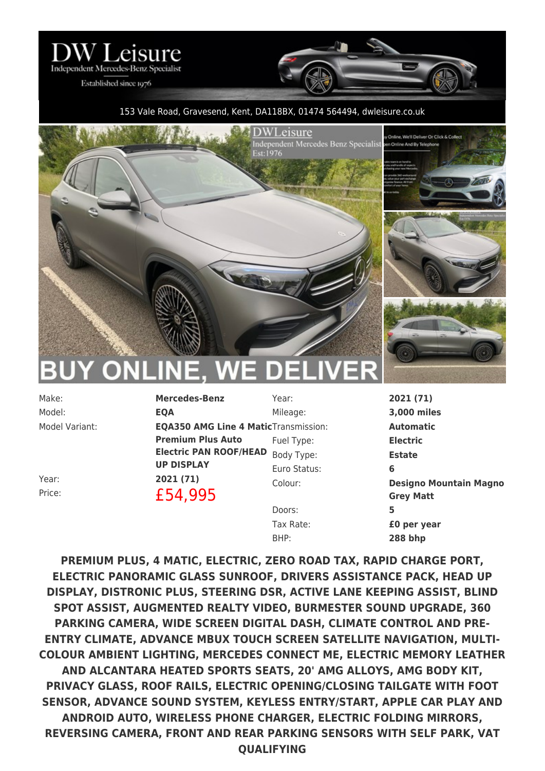

Established since 1976

## 153 Vale Road, Gravesend, Kent, DA118BX, 01474 564494, [dwleisure.co.uk](https://www.dwleisure.co.uk)



Model: **EQA**

Make: **Mercedes-Benz** Model Variant: **EQA350 AMG Line 4 Matic** Transmission: **Automatic Premium Plus Auto Electric PAN ROOF/HEAD** Body Type: **Estate UP DISPLAY** Year: **2021 (71)** Price: **£54,995** 

Mileage: **3,000 miles** Fuel Type: **Electric** Euro Status: **6** Doors: **5** Tax Rate: **£0 per year**

Year: **2021 (71)** Colour: **Designo Mountain Magno Grey Matt** BHP: **288 bhp**

**PREMIUM PLUS, 4 MATIC, ELECTRIC, ZERO ROAD TAX, RAPID CHARGE PORT, ELECTRIC PANORAMIC GLASS SUNROOF, DRIVERS ASSISTANCE PACK, HEAD UP DISPLAY, DISTRONIC PLUS, STEERING DSR, ACTIVE LANE KEEPING ASSIST, BLIND SPOT ASSIST, AUGMENTED REALTY VIDEO, BURMESTER SOUND UPGRADE, 360 PARKING CAMERA, WIDE SCREEN DIGITAL DASH, CLIMATE CONTROL AND PRE-ENTRY CLIMATE, ADVANCE MBUX TOUCH SCREEN SATELLITE NAVIGATION, MULTI-COLOUR AMBIENT LIGHTING, MERCEDES CONNECT ME, ELECTRIC MEMORY LEATHER AND ALCANTARA HEATED SPORTS SEATS, 20' AMG ALLOYS, AMG BODY KIT, PRIVACY GLASS, ROOF RAILS, ELECTRIC OPENING/CLOSING TAILGATE WITH FOOT SENSOR, ADVANCE SOUND SYSTEM, KEYLESS ENTRY/START, APPLE CAR PLAY AND ANDROID AUTO, WIRELESS PHONE CHARGER, ELECTRIC FOLDING MIRRORS, REVERSING CAMERA, FRONT AND REAR PARKING SENSORS WITH SELF PARK, VAT QUALIFYING**